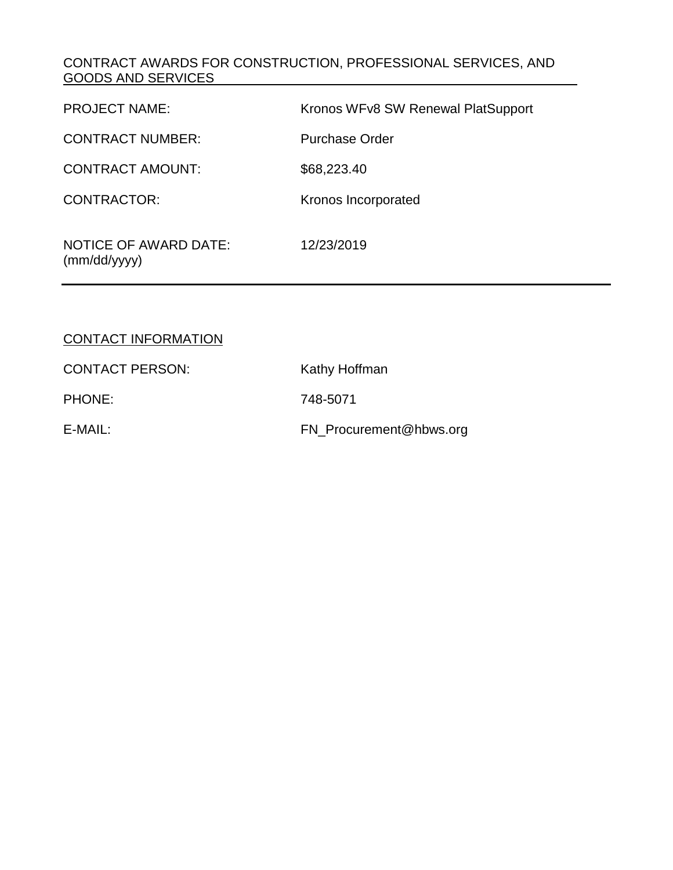# CONTRACT AWARDS FOR CONSTRUCTION, PROFESSIONAL SERVICES, AND GOODS AND SERVICES

| <b>PROJECT NAME:</b>                  | Kronos WFv8 SW Renewal PlatSupport |
|---------------------------------------|------------------------------------|
| <b>CONTRACT NUMBER:</b>               | <b>Purchase Order</b>              |
| <b>CONTRACT AMOUNT:</b>               | \$68,223.40                        |
| CONTRACTOR:                           | Kronos Incorporated                |
| NOTICE OF AWARD DATE:<br>(mm/dd/yyyy) | 12/23/2019                         |

# CONTACT INFORMATION

| <b>CONTACT PERSON:</b> | Kathy Hoffman           |
|------------------------|-------------------------|
| PHONE:                 | 748-5071                |
| E-MAIL:                | FN_Procurement@hbws.org |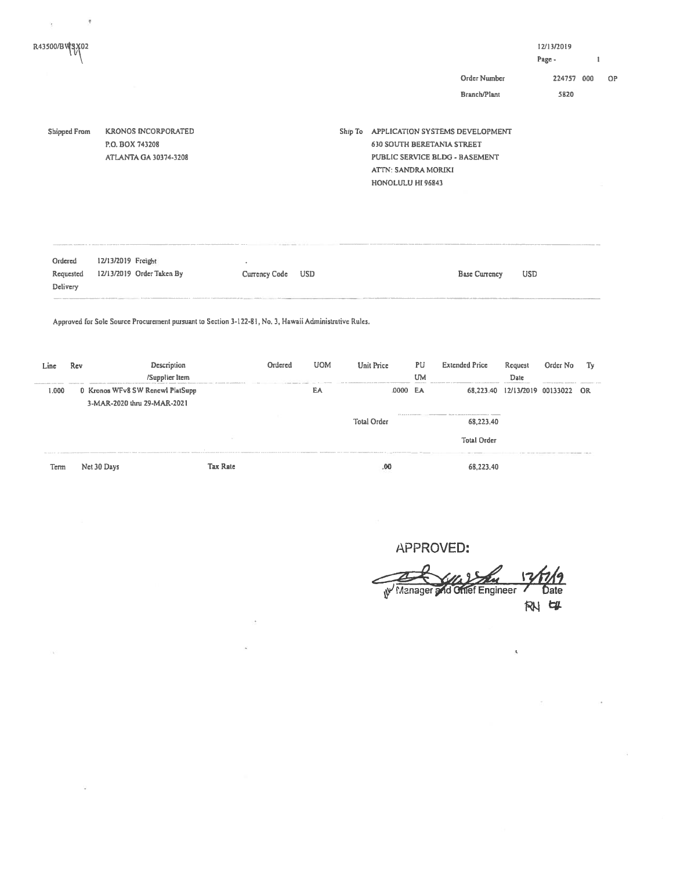| R43500/BW<br><b>SX02</b> |                                                                                                                                         |                 |            |                     |                 |                                         |                 | 12/13/2019<br>Page -             | 1  |
|--------------------------|-----------------------------------------------------------------------------------------------------------------------------------------|-----------------|------------|---------------------|-----------------|-----------------------------------------|-----------------|----------------------------------|----|
|                          |                                                                                                                                         |                 |            |                     |                 | Order Number                            |                 | 224757 000                       |    |
|                          |                                                                                                                                         |                 |            |                     |                 | Branch/Plant                            |                 | 5820                             |    |
| Shipped From             | <b>KRONOS INCORPORATED</b>                                                                                                              |                 |            |                     |                 | Ship To APPLICATION SYSTEMS DEVELOPMENT |                 |                                  |    |
|                          | P.O. BOX 743208                                                                                                                         |                 |            |                     |                 | <b>630 SOUTH BERETANIA STREET</b>       |                 |                                  |    |
|                          | ATLANTA GA 30374-3208                                                                                                                   |                 |            | ATTN: SANDRA MORIKI |                 | PUBLIC SERVICE BLDG - BASEMENT          |                 |                                  |    |
|                          |                                                                                                                                         |                 |            | HONOLULU HI 96843   |                 |                                         |                 |                                  |    |
|                          |                                                                                                                                         |                 |            |                     |                 |                                         |                 |                                  |    |
|                          |                                                                                                                                         |                 |            |                     |                 |                                         |                 |                                  |    |
| Ordered                  | 12/13/2019 Freight                                                                                                                      |                 |            |                     |                 |                                         |                 |                                  |    |
| Requested<br>Delivery    | 12/13/2019 Order Taken By                                                                                                               | Currency Code   | <b>USD</b> |                     |                 | <b>Base Currency</b>                    | <b>USD</b>      |                                  |    |
| Rev<br>Line              | Approved for Sole Source Procurement pursuant to Section 3-122-81, No. 3, Hawaii Administrative Rules.<br>Description<br>/Supplier Item | Ordered         | <b>UOM</b> | Unit Price          | PU<br><b>UM</b> | <b>Extended Price</b>                   | Request<br>Date | Order No                         | Тy |
| 1.000                    | 0 Kronos WFv8 SW Renewl PlatSupp                                                                                                        |                 | <b>EA</b>  | 0000 EA             |                 |                                         |                 | 68,223.40 12/13/2019 00133022 OR |    |
|                          | 3-MAR-2020 thru 29-MAR-2021                                                                                                             |                 |            |                     |                 |                                         |                 |                                  |    |
|                          |                                                                                                                                         |                 |            | Total Order         |                 | 68,223.40                               |                 |                                  |    |
|                          |                                                                                                                                         |                 |            |                     |                 | <b>Total Order</b>                      |                 |                                  |    |
| Term                     | Net 30 Days                                                                                                                             | <b>Tax Rate</b> |            | .00                 |                 | 68,223.40                               |                 |                                  |    |

 $\frac{1}{2}$ 

 $\hat{\mathbf{x}}$ 

 $\sim$ 

APPROVED:

W Manager and Officer 17/7/19

 $\lambda$ 

 $\overline{\phantom{a}}$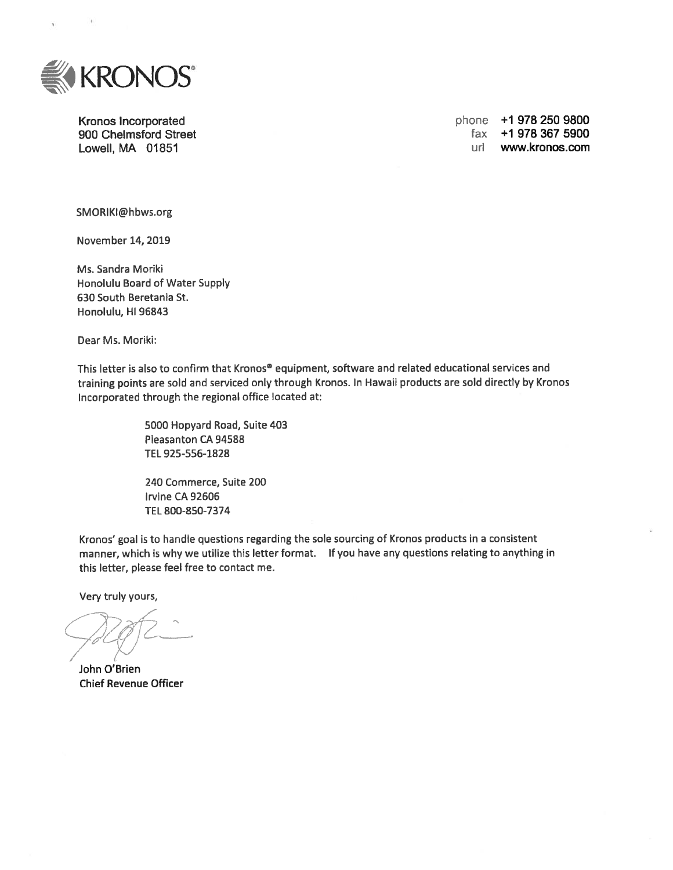

**Lowell, MA 01851 under the community of the community of the community of the community of the community of the community of the community of the community of the community of the community of the community of the communi** 

Kronos Incorporated phone +1 978 250 9800<br>900 Chelmsford Street phone +1 978 267 5900 900 Chelmsford Street fax **+1 978 367 5900**<br>
Lowell, MA 01851 **Fax 1978 367 5900**<br>
Lowell, MA 01851

SMORlKl@hbws.org

November 14, 2019

Ms. Sandra Moriki Honolulu Board of Water Supply 630 South Beretania St. Honolulu, HI 96843

Dear Ms. Moriki:

This letter is also to confirm that Kronos® equipment, software and related educational services and training points are sold and serviced only through Kronos. In Hawaii products are sold directly by Kronos Incorporated through the regional office located at:

> 5000 Hopyard Road, Suite 403 Pleasanton CA 94588 TEL 925-556-1828

240 Commerce, Suite 200 Irvine CA 92606 TEL 800-850-7374

Kronos' goal is to handle questions regarding the sole sourcing of Kronos products in a consistent manner, which is why we utilize this letter format. If you have any questions relating to anything in this letter, please feel free to contact me.

Very truly yours,

John O'Brien Chief Revenue Officer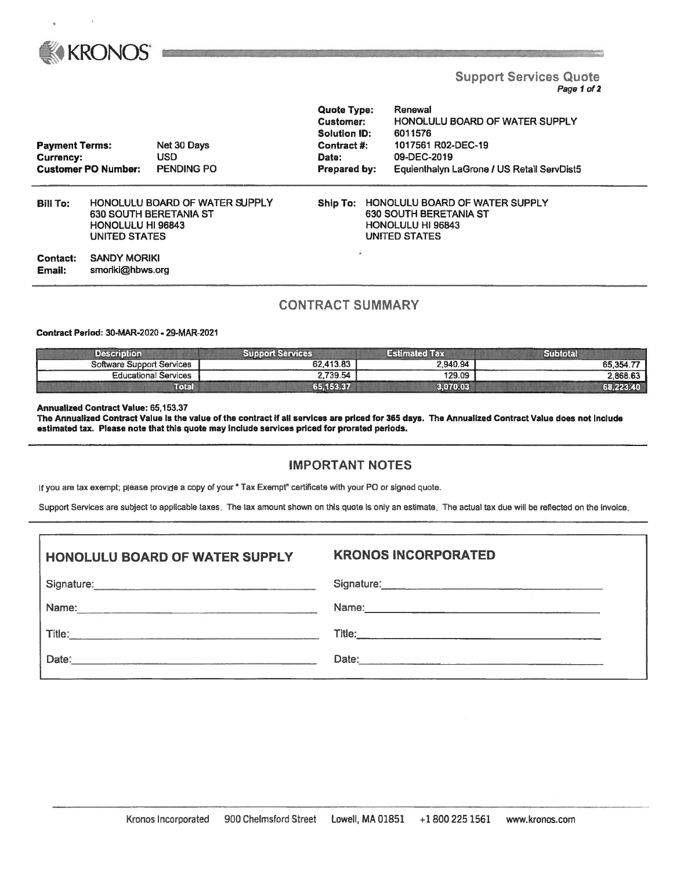

## Support Services Quote Page 1 of 2

| <b>Payment Terms:</b><br>Currency: | <b>Customer PO Number:</b>                | Net 30 Days<br><b>USD</b><br>PENDING PO                                | <b>Quote Type:</b><br>Customer:<br><b>Solution ID:</b><br>Contract #:<br>Date:<br><b>Prepared by:</b> | Renewal<br><b>HONOLULU BOARD OF WATER SUPPLY</b><br>6011576<br>1017561 R02-DEC-19<br>09-DEC-2019<br>Equienthalyn LaGrone / US Retail ServDist5 |
|------------------------------------|-------------------------------------------|------------------------------------------------------------------------|-------------------------------------------------------------------------------------------------------|------------------------------------------------------------------------------------------------------------------------------------------------|
| <b>Bill To:</b>                    | <b>HONOLULU HI 96843</b><br>UNITED STATES | <b>HONOLULU BOARD OF WATER SUPPLY</b><br><b>630 SOUTH BERETANIA ST</b> | <b>Ship To:</b>                                                                                       | <b>HONOLULU BOARD OF WATER SUPPLY</b><br><b>630 SOUTH BERETANIA ST</b><br><b>HONOLULU HI 96843</b><br>UNITED STATES                            |
| Contact:<br>Email:                 | <b>SANDY MORIKI</b><br>smoriki@hbws.org   |                                                                        | ٠                                                                                                     |                                                                                                                                                |
|                                    |                                           |                                                                        |                                                                                                       |                                                                                                                                                |

# CONTRACT SUMMARY

#### Contract Period: 30-MAR-2020 - 29-MAR-2021

| <b>Description</b>          | Support Services I | <b>Estimated Tax</b> | <b>Subtotal</b> |
|-----------------------------|--------------------|----------------------|-----------------|
| Software Support Services   | 62.413.83          | 2.940.94             | 65,354.77       |
| <b>Educational Services</b> | 2.739.54           | 129.09               | 2.868.63        |
| <b>Total</b>                | 65,153.37          | 3.070.03             | 68,223.40       |

Annualized Contract Value: 65,153.37

The Annualized Contract Value is the value of the contract if all services are priced for 365 days. The Annualized Contract Value does not include estimated tax. Please note that this quote may include services priced for prorated periods.

## IMPORTANT NOTES

If you are tax exempt; please provide a copy of your' Tax Exempt' certificate with your PC or signed quote.

Support Services are subject to applicable taxes. The tax amount shown on this quote is only an estimate. The actual tax due will be reflected on the invoice.

| <b>HONOLULU BOARD OF WATER SUPPLY</b>                                                                          | <b>KRONOS INCORPORATED</b>                                                                                     |
|----------------------------------------------------------------------------------------------------------------|----------------------------------------------------------------------------------------------------------------|
| Signature: Signature:                                                                                          | Signature: etc. but also a series and series and series and series and series and series and series and series |
| Name: 2008 2010 2020 2020 2020 2021 2021 2022 2022 2022 2022 2022 2022 2022 2022 2022 2022 2022 2022 2022 2022 |                                                                                                                |
| Title: 2008 2010 2020 2020 2021 2021 2022 2021 2022 2022 2022 2022 2022 2022 2022 2022 2022 2022 2022 2022 20  |                                                                                                                |
| Date:                                                                                                          |                                                                                                                |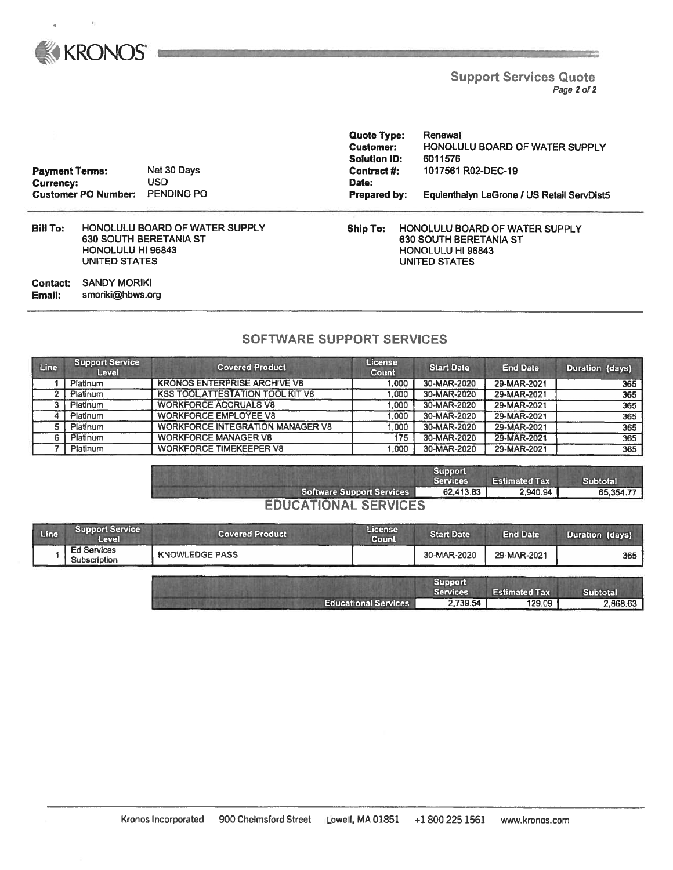

**Normer Links** 

Support Services Quote Page 2 of 2

| <b>Payment Terms:</b><br><b>Currency:</b> | <b>Customer PO Number:</b>                | Net 30 Days<br>USD.<br>PENDING PO                                      | <b>Quote Type:</b><br>Customer:<br>Solution ID:<br>Contract #:<br>Date:<br>Prepared by: | Renewal<br><b>HONOLULU BOARD OF WATER SUPPLY</b><br>6011576<br>1017561 R02-DEC-19<br>Equienthalyn LaGrone / US Retail ServDist5 |
|-------------------------------------------|-------------------------------------------|------------------------------------------------------------------------|-----------------------------------------------------------------------------------------|---------------------------------------------------------------------------------------------------------------------------------|
| <b>Bill To:</b>                           | <b>HONOLULU HI 96843</b><br>UNITED STATES | <b>HONOLULU BOARD OF WATER SUPPLY</b><br><b>630 SOUTH BERETANIA ST</b> | Ship To:                                                                                | <b>HONOLULU BOARD OF WATER SUPPLY</b><br><b>630 SOUTH BERETANIA ST</b><br><b>HONOLULU HI 96843</b><br><b>UNITED STATES</b>      |
| <b>Contact:</b><br>Email:                 | <b>SANDY MORIKI</b><br>smoriki@hbws.org   |                                                                        |                                                                                         |                                                                                                                                 |
|                                           |                                           |                                                                        |                                                                                         |                                                                                                                                 |

# SOFTWARE SUPPORT SERVICES

| <b>Line</b> | <b>Support Service</b><br><b>Level</b> | <b>Covered Product</b>                  | <b>License</b><br>Count | <b>Start Date</b> | <b>End Date</b> | Duration (days) |
|-------------|----------------------------------------|-----------------------------------------|-------------------------|-------------------|-----------------|-----------------|
|             | Platinum                               | <b>KRONOS ENTERPRISE ARCHIVE V8</b>     | 1.000                   | 30-MAR-2020       | 29-MAR-2021     | 365             |
|             | Platinum                               | <b>KSS TOOL ATTESTATION TOOL KIT V8</b> | 1,000                   | 30-MAR-2020       | 29-MAR-2021     | 365             |
|             | Platinum                               | <b>WORKFORCE ACCRUALS V8</b>            | 1,000                   | 30-MAR-2020       | 29-MAR-2021     | 365             |
|             | Platinum                               | <b>WORKFORCE EMPLOYEE V8</b>            | 1.000                   | 30-MAR-2020       | 29-MAR-2021     | 365             |
|             | Platinum                               | <b>WORKFORCE INTEGRATION MANAGER V8</b> | 1.000                   | 30-MAR-2020       | 29-MAR-2021     | 365             |
|             | Platinum                               | <b>WORKFORCE MANAGER V8</b>             | 175                     | 30-MAR-2020       | 29-MAR-2021     | 365             |
|             | Platinum                               | <b>WORKFORCE TIMEKEEPER V8</b>          | 1.000                   | 30-MAR-2020       | 29-MAR-2021     | 365             |

|                             | Support<br><b>Services</b> | <b>Estimated Tax</b> | <b>Subtotal</b> |
|-----------------------------|----------------------------|----------------------|-----------------|
| Software Support Services   | 62,413.83                  | 2,940.94             | 65,354.77       |
| <b>EDUCATIONAL SERVICES</b> |                            |                      |                 |

| <b>Line</b> | Support Service \<br>Level         | <b>Covered Product</b> | License<br>Count | <b>Start Date</b> | <b>End Date</b> | Duration (days) |
|-------------|------------------------------------|------------------------|------------------|-------------------|-----------------|-----------------|
|             | <b>Ed Services</b><br>Subscription | <b>KNOWLEDGE PASS</b>  |                  | 30-MAR-2020       | 29-MAR-2021     | 365             |

|                             |                            |                      | ---             |
|-----------------------------|----------------------------|----------------------|-----------------|
|                             | Support<br><b>Services</b> | <b>Estimated Tax</b> | <b>Subtotal</b> |
| <b>Educational Services</b> | 2.739.54                   | 129.09               | 2,868.63        |